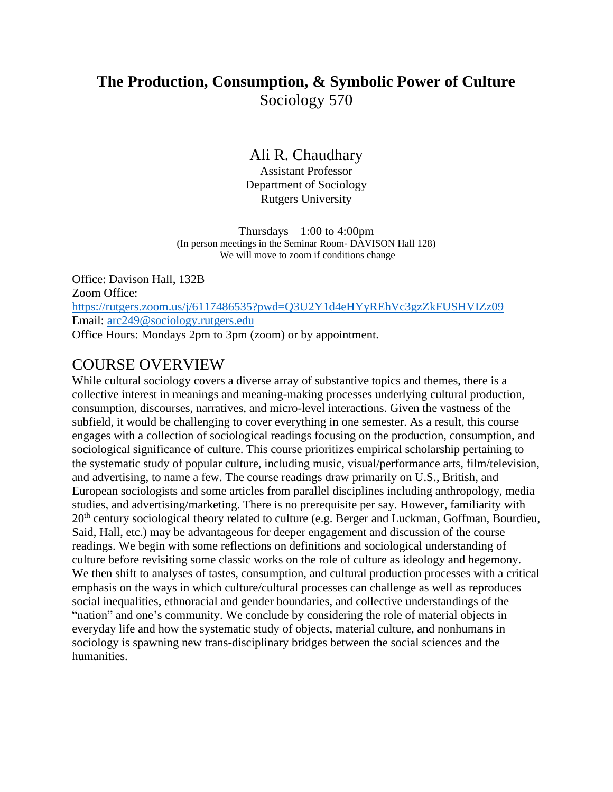# **The Production, Consumption, & Symbolic Power of Culture** Sociology 570

## Ali R. Chaudhary

Assistant Professor Department of Sociology Rutgers University

Thursdays  $-1:00$  to 4:00pm (In person meetings in the Seminar Room- DAVISON Hall 128) We will move to zoom if conditions change

Office: Davison Hall, 132B Zoom Office: <https://rutgers.zoom.us/j/6117486535?pwd=Q3U2Y1d4eHYyREhVc3gzZkFUSHVIZz09> Email: [arc249@sociology.rutgers.edu](mailto:arc249@sociology.rutgers.edu) Office Hours: Mondays 2pm to 3pm (zoom) or by appointment.

## COURSE OVERVIEW

While cultural sociology covers a diverse array of substantive topics and themes, there is a collective interest in meanings and meaning-making processes underlying cultural production, consumption, discourses, narratives, and micro-level interactions. Given the vastness of the subfield, it would be challenging to cover everything in one semester. As a result, this course engages with a collection of sociological readings focusing on the production, consumption, and sociological significance of culture. This course prioritizes empirical scholarship pertaining to the systematic study of popular culture, including music, visual/performance arts, film/television, and advertising, to name a few. The course readings draw primarily on U.S., British, and European sociologists and some articles from parallel disciplines including anthropology, media studies, and advertising/marketing. There is no prerequisite per say. However, familiarity with 20<sup>th</sup> century sociological theory related to culture (e.g. Berger and Luckman, Goffman, Bourdieu, Said, Hall, etc.) may be advantageous for deeper engagement and discussion of the course readings. We begin with some reflections on definitions and sociological understanding of culture before revisiting some classic works on the role of culture as ideology and hegemony. We then shift to analyses of tastes, consumption, and cultural production processes with a critical emphasis on the ways in which culture/cultural processes can challenge as well as reproduces social inequalities, ethnoracial and gender boundaries, and collective understandings of the "nation" and one's community. We conclude by considering the role of material objects in everyday life and how the systematic study of objects, material culture, and nonhumans in sociology is spawning new trans-disciplinary bridges between the social sciences and the humanities.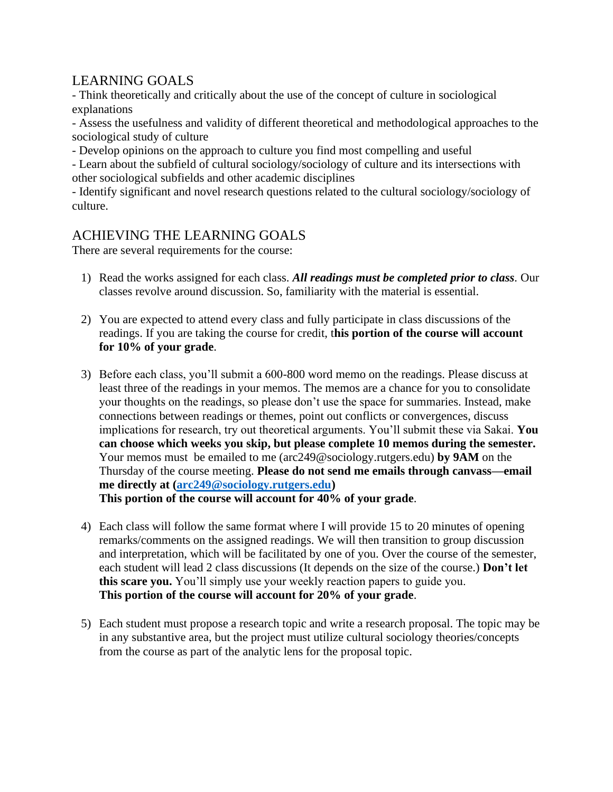## LEARNING GOALS

- Think theoretically and critically about the use of the concept of culture in sociological explanations

- Assess the usefulness and validity of different theoretical and methodological approaches to the sociological study of culture

- Develop opinions on the approach to culture you find most compelling and useful

- Learn about the subfield of cultural sociology/sociology of culture and its intersections with other sociological subfields and other academic disciplines

- Identify significant and novel research questions related to the cultural sociology/sociology of culture.

## ACHIEVING THE LEARNING GOALS

There are several requirements for the course:

- 1) Read the works assigned for each class. *All readings must be completed prior to class.* Our classes revolve around discussion. So, familiarity with the material is essential.
- 2) You are expected to attend every class and fully participate in class discussions of the readings. If you are taking the course for credit, t**his portion of the course will account for 10% of your grade**.
- 3) Before each class, you'll submit a 600-800 word memo on the readings. Please discuss at least three of the readings in your memos. The memos are a chance for you to consolidate your thoughts on the readings, so please don't use the space for summaries. Instead, make connections between readings or themes, point out conflicts or convergences, discuss implications for research, try out theoretical arguments. You'll submit these via Sakai. **You can choose which weeks you skip, but please complete 10 memos during the semester.**  Your memos must be emailed to me (arc249@sociology.rutgers.edu) **by 9AM** on the Thursday of the course meeting. **Please do not send me emails through canvass—email me directly at [\(arc249@sociology.rutgers.edu\)](mailto:arc249@sociology.rutgers.edu) This portion of the course will account for 40% of your grade**.
- 4) Each class will follow the same format where I will provide 15 to 20 minutes of opening remarks/comments on the assigned readings. We will then transition to group discussion and interpretation, which will be facilitated by one of you. Over the course of the semester, each student will lead 2 class discussions (It depends on the size of the course.) **Don't let this scare you.** You'll simply use your weekly reaction papers to guide you. **This portion of the course will account for 20% of your grade**.
- 5) Each student must propose a research topic and write a research proposal. The topic may be in any substantive area, but the project must utilize cultural sociology theories/concepts from the course as part of the analytic lens for the proposal topic.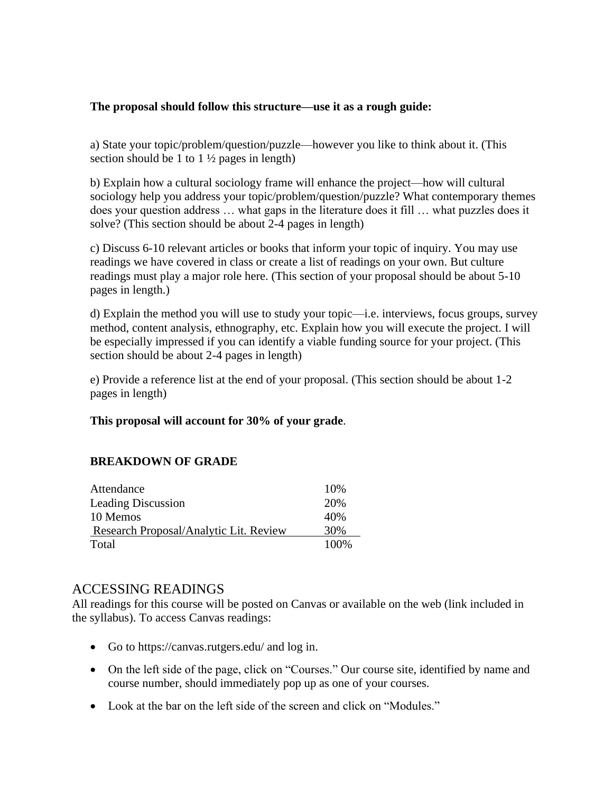## **The proposal should follow this structure—use it as a rough guide:**

a) State your topic/problem/question/puzzle—however you like to think about it. (This section should be 1 to  $1\frac{1}{2}$  pages in length)

b) Explain how a cultural sociology frame will enhance the project—how will cultural sociology help you address your topic/problem/question/puzzle? What contemporary themes does your question address … what gaps in the literature does it fill … what puzzles does it solve? (This section should be about 2-4 pages in length)

c) Discuss 6-10 relevant articles or books that inform your topic of inquiry. You may use readings we have covered in class or create a list of readings on your own. But culture readings must play a major role here. (This section of your proposal should be about 5-10 pages in length.)

d) Explain the method you will use to study your topic—i.e. interviews, focus groups, survey method, content analysis, ethnography, etc. Explain how you will execute the project. I will be especially impressed if you can identify a viable funding source for your project. (This section should be about 2-4 pages in length)

e) Provide a reference list at the end of your proposal. (This section should be about 1-2 pages in length)

## **This proposal will account for 30% of your grade**.

## **BREAKDOWN OF GRADE**

| Attendance                             | 10%  |
|----------------------------------------|------|
| <b>Leading Discussion</b>              | 20%  |
| 10 Memos                               | 40%  |
| Research Proposal/Analytic Lit. Review | 30%  |
| Total                                  | 100% |

## ACCESSING READINGS

All readings for this course will be posted on Canvas or available on the web (link included in the syllabus). To access Canvas readings:

- Go to https://canvas.rutgers.edu/ and log in.
- On the left side of the page, click on "Courses." Our course site, identified by name and course number, should immediately pop up as one of your courses.
- Look at the bar on the left side of the screen and click on "Modules."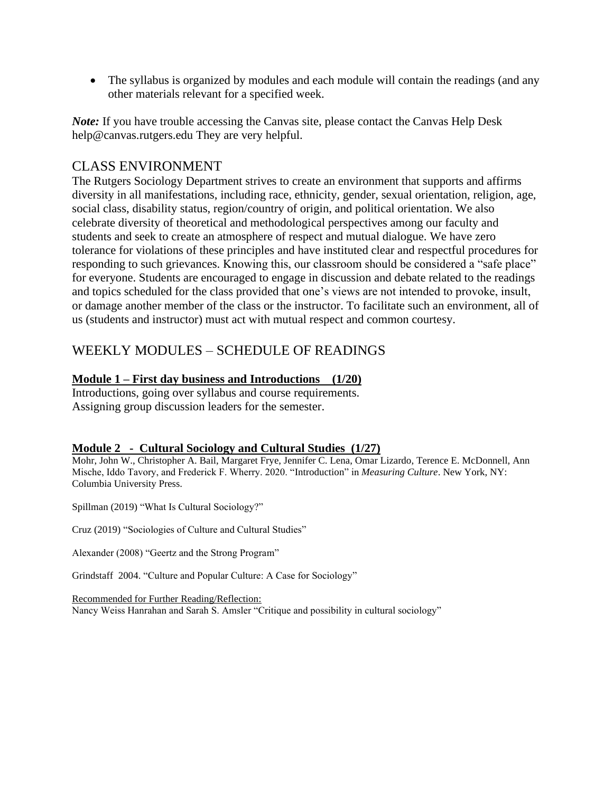• The syllabus is organized by modules and each module will contain the readings (and any other materials relevant for a specified week.

*Note:* If you have trouble accessing the Canvas site, please contact the Canvas Help Desk help@canvas.rutgers.edu They are very helpful.

## CLASS ENVIRONMENT

The Rutgers Sociology Department strives to create an environment that supports and affirms diversity in all manifestations, including race, ethnicity, gender, sexual orientation, religion, age, social class, disability status, region/country of origin, and political orientation. We also celebrate diversity of theoretical and methodological perspectives among our faculty and students and seek to create an atmosphere of respect and mutual dialogue. We have zero tolerance for violations of these principles and have instituted clear and respectful procedures for responding to such grievances. Knowing this, our classroom should be considered a "safe place" for everyone. Students are encouraged to engage in discussion and debate related to the readings and topics scheduled for the class provided that one's views are not intended to provoke, insult, or damage another member of the class or the instructor. To facilitate such an environment, all of us (students and instructor) must act with mutual respect and common courtesy.

## WEEKLY MODULES – SCHEDULE OF READINGS

## **Module 1 – First day business and Introductions (1/20)**

Introductions, going over syllabus and course requirements. Assigning group discussion leaders for the semester.

## **Module 2 - Cultural Sociology and Cultural Studies (1/27)**

Mohr, John W., Christopher A. Bail, Margaret Frye, Jennifer C. Lena, Omar Lizardo, Terence E. McDonnell, Ann Mische, Iddo Tavory, and Frederick F. Wherry. 2020. "Introduction" in *Measuring Culture*. New York, NY: Columbia University Press.

Spillman (2019) "What Is Cultural Sociology?"

Cruz (2019) "Sociologies of Culture and Cultural Studies"

Alexander (2008) "Geertz and the Strong Program"

Grindstaff 2004. "Culture and Popular Culture: A Case for Sociology"

Recommended for Further Reading/Reflection: Nancy Weiss Hanrahan and Sarah S. Amsler "Critique and possibility in cultural sociology"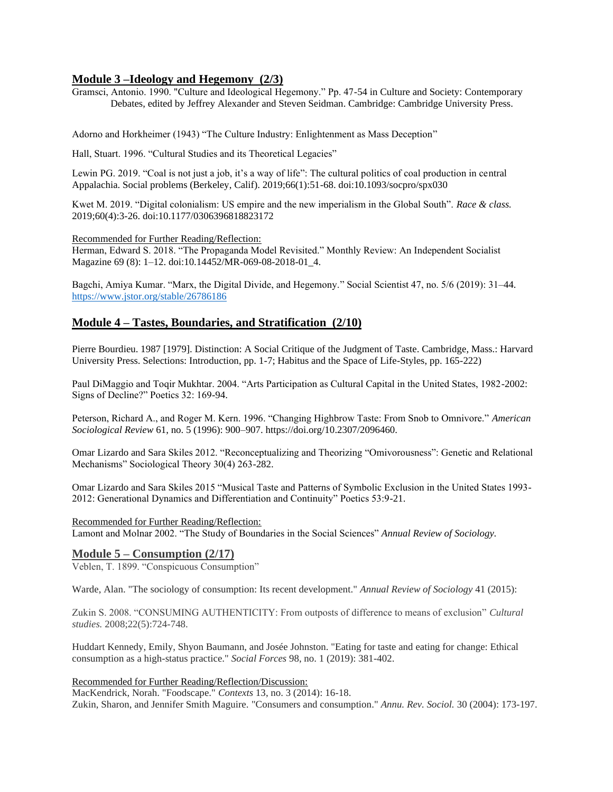### **Module 3 –Ideology and Hegemony (2/3)**

Gramsci, Antonio. 1990. "Culture and Ideological Hegemony." Pp. 47-54 in Culture and Society: Contemporary Debates, edited by Jeffrey Alexander and Steven Seidman. Cambridge: Cambridge University Press.

Adorno and Horkheimer (1943) "The Culture Industry: Enlightenment as Mass Deception"

Hall, Stuart. 1996. "Cultural Studies and its Theoretical Legacies"

Lewin PG. 2019. "Coal is not just a job, it's a way of life": The cultural politics of coal production in central Appalachia. Social problems (Berkeley, Calif). 2019;66(1):51-68. doi:10.1093/socpro/spx030

Kwet M. 2019. "Digital colonialism: US empire and the new imperialism in the Global South". *Race & class.* 2019;60(4):3-26. doi:10.1177/0306396818823172

Recommended for Further Reading/Reflection:

Herman, Edward S. 2018. "The Propaganda Model Revisited." Monthly Review: An Independent Socialist Magazine 69 (8): 1–12. doi:10.14452/MR-069-08-2018-01\_4.

Bagchi, Amiya Kumar. "Marx, the Digital Divide, and Hegemony." Social Scientist 47, no. 5/6 (2019): 31–44. <https://www.jstor.org/stable/26786186>

#### **Module 4 – Tastes, Boundaries, and Stratification (2/10)**

Pierre Bourdieu. 1987 [1979]. Distinction: A Social Critique of the Judgment of Taste. Cambridge, Mass.: Harvard University Press. Selections: Introduction, pp. 1-7; Habitus and the Space of Life-Styles, pp. 165-222)

Paul DiMaggio and Toqir Mukhtar. 2004. "Arts Participation as Cultural Capital in the United States, 1982-2002: Signs of Decline?" Poetics 32: 169-94.

Peterson, Richard A., and Roger M. Kern. 1996. "Changing Highbrow Taste: From Snob to Omnivore." *American Sociological Review* 61, no. 5 (1996): 900–907. https://doi.org/10.2307/2096460.

Omar Lizardo and Sara Skiles 2012. "Reconceptualizing and Theorizing "Omivorousness": Genetic and Relational Mechanisms" Sociological Theory 30(4) 263-282.

Omar Lizardo and Sara Skiles 2015 "Musical Taste and Patterns of Symbolic Exclusion in the United States 1993- 2012: Generational Dynamics and Differentiation and Continuity" Poetics 53:9-21.

Recommended for Further Reading/Reflection:

Lamont and Molnar 2002. "The Study of Boundaries in the Social Sciences" *Annual Review of Sociology.*

#### **Module 5 – Consumption (2/17)**

Veblen, T. 1899. "Conspicuous Consumption"

Warde, Alan. "The sociology of consumption: Its recent development." *Annual Review of Sociology* 41 (2015):

Zukin S. 2008. "CONSUMING AUTHENTICITY: From outposts of difference to means of exclusion" *Cultural studies.* 2008;22(5):724-748.

Huddart Kennedy, Emily, Shyon Baumann, and Josée Johnston. "Eating for taste and eating for change: Ethical consumption as a high-status practice." *Social Forces* 98, no. 1 (2019): 381-402.

Recommended for Further Reading/Reflection/Discussion:

MacKendrick, Norah. "Foodscape." *Contexts* 13, no. 3 (2014): 16-18. Zukin, Sharon, and Jennifer Smith Maguire. "Consumers and consumption." *Annu. Rev. Sociol.* 30 (2004): 173-197.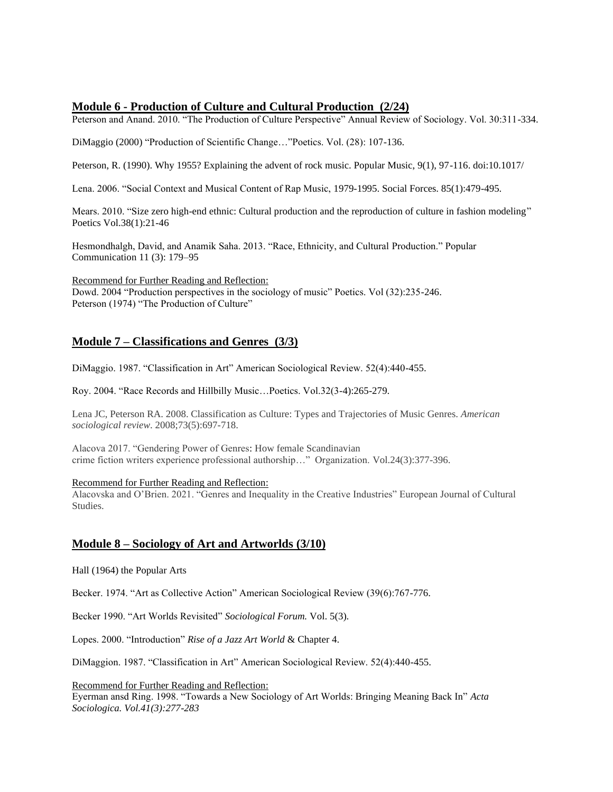### **Module 6 - Production of Culture and Cultural Production (2/24)**

Peterson and Anand. 2010. "The Production of Culture Perspective" Annual Review of Sociology. Vol. 30:311-334.

DiMaggio (2000) "Production of Scientific Change…"Poetics. Vol. (28): 107-136.

Peterson, R. (1990). Why 1955? Explaining the advent of rock music. Popular Music, 9(1), 97-116. doi:10.1017/

Lena. 2006. "Social Context and Musical Content of Rap Music, 1979-1995. Social Forces. 85(1):479-495.

Mears. 2010. "Size zero high-end ethnic: Cultural production and the reproduction of culture in fashion modeling" Poetics Vol.38(1):21-46

Hesmondhalgh, David, and Anamik Saha. 2013. "Race, Ethnicity, and Cultural Production." Popular Communication 11 (3): 179–95

Recommend for Further Reading and Reflection: Dowd. 2004 "Production perspectives in the sociology of music" Poetics. Vol (32):235-246. Peterson (1974) "The Production of Culture"

## **Module 7 – Classifications and Genres (3/3)**

DiMaggio. 1987. "Classification in Art" American Sociological Review. 52(4):440-455.

Roy. 2004. "Race Records and Hillbilly Music…Poetics. Vol.32(3-4):265-279.

Lena JC, Peterson RA. 2008. Classification as Culture: Types and Trajectories of Music Genres. *American sociological review*. 2008;73(5):697-718.

Alacova 2017. "Gendering Power of Genres: How female Scandinavian crime fiction writers experience professional authorship…" Organization. Vol.24(3):377-396.

#### Recommend for Further Reading and Reflection:

Alacovska and O'Brien. 2021. "Genres and Inequality in the Creative Industries" European Journal of Cultural Studies.

## **Module 8 – Sociology of Art and Artworlds (3/10)**

Hall (1964) the Popular Arts

Becker. 1974. "Art as Collective Action" American Sociological Review (39(6):767-776.

Becker 1990. "Art Worlds Revisited" *Sociological Forum.* Vol. 5(3).

Lopes. 2000. "Introduction" *Rise of a Jazz Art World* & Chapter 4.

DiMaggion. 1987. "Classification in Art" American Sociological Review. 52(4):440-455.

Recommend for Further Reading and Reflection:

Eyerman ansd Ring. 1998. "Towards a New Sociology of Art Worlds: Bringing Meaning Back In" *Acta Sociologica. Vol.41(3):277-283*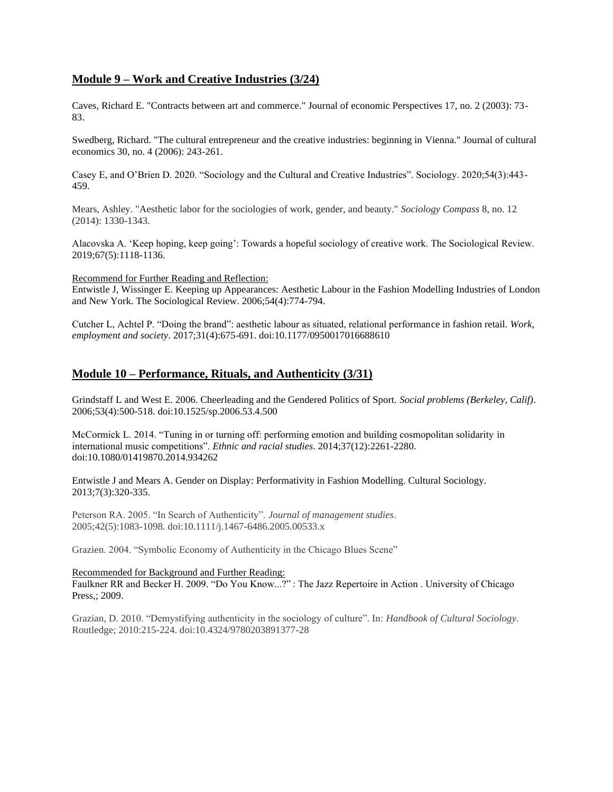### **Module 9 – Work and Creative Industries (3/24)**

Caves, Richard E. "Contracts between art and commerce." Journal of economic Perspectives 17, no. 2 (2003): 73- 83.

Swedberg, Richard. "The cultural entrepreneur and the creative industries: beginning in Vienna." Journal of cultural economics 30, no. 4 (2006): 243-261.

Casey E, and O'Brien D. 2020. "Sociology and the Cultural and Creative Industries". Sociology. 2020;54(3):443- 459.

Mears, Ashley. "Aesthetic labor for the sociologies of work, gender, and beauty." *Sociology Compass* 8, no. 12 (2014): 1330-1343.

Alacovska A. 'Keep hoping, keep going': Towards a hopeful sociology of creative work. The Sociological Review. 2019;67(5):1118-1136.

Recommend for Further Reading and Reflection:

Entwistle J, Wissinger E. Keeping up Appearances: Aesthetic Labour in the Fashion Modelling Industries of London and New York. The Sociological Review. 2006;54(4):774-794.

Cutcher L, Achtel P. "Doing the brand": aesthetic labour as situated, relational performance in fashion retail. *Work, employment and society*. 2017;31(4):675-691. doi:10.1177/0950017016688610

#### **Module 10 – Performance, Rituals, and Authenticity (3/31)**

Grindstaff L and West E. 2006. Cheerleading and the Gendered Politics of Sport. *Social problems (Berkeley, Calif)*. 2006;53(4):500-518. doi:10.1525/sp.2006.53.4.500

McCormick L. 2014. "Tuning in or turning off: performing emotion and building cosmopolitan solidarity in international music competitions". *Ethnic and racial studies*. 2014;37(12):2261-2280. doi:10.1080/01419870.2014.934262

Entwistle J and Mears A. Gender on Display: Performativity in Fashion Modelling. Cultural Sociology. 2013;7(3):320-335.

Peterson RA. 2005. "In Search of Authenticity". *Journal of management studies*. 2005;42(5):1083-1098. doi:10.1111/j.1467-6486.2005.00533.x

Grazien. 2004. "Symbolic Economy of Authenticity in the Chicago Blues Scene"

#### Recommended for Background and Further Reading:

Faulkner RR and Becker H. 2009. "Do You Know...?" : The Jazz Repertoire in Action . University of Chicago Press,; 2009.

Grazian, D. 2010. "Demystifying authenticity in the sociology of culture". In: *Handbook of Cultural Sociology*. Routledge; 2010:215-224. doi:10.4324/9780203891377-28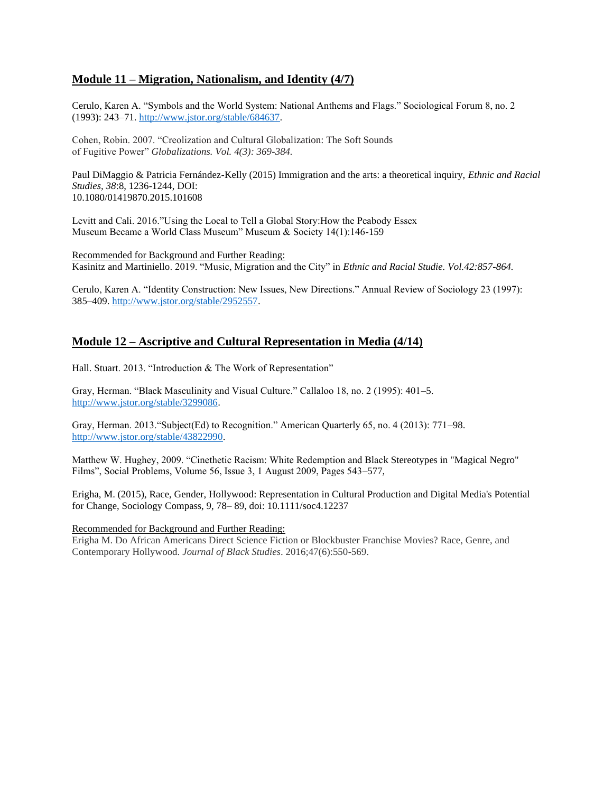## **Module 11 – Migration, Nationalism, and Identity (4/7)**

Cerulo, Karen A. "Symbols and the World System: National Anthems and Flags." Sociological Forum 8, no. 2 (1993): 243–71. [http://www.jstor.org/stable/684637.](http://www.jstor.org/stable/684637)

Cohen, Robin. 2007. "Creolization and Cultural Globalization: The Soft Sounds of Fugitive Power" *Globalizations. Vol. 4(3): 369-384.*

Paul DiMaggio & Patricia Fernández-Kelly (2015) Immigration and the arts: a theoretical inquiry, *Ethnic and Racial Studies, 38*:8, 1236-1244, DOI: 10.1080/01419870.2015.101608

Levitt and Cali. 2016."Using the Local to Tell a Global Story:How the Peabody Essex Museum Became a World Class Museum" Museum & Society 14(1):146-159

Recommended for Background and Further Reading: Kasinitz and Martiniello. 2019. "Music, Migration and the City" in *Ethnic and Racial Studie. Vol.42:857-864.*

Cerulo, Karen A. "Identity Construction: New Issues, New Directions." Annual Review of Sociology 23 (1997): 385–409. [http://www.jstor.org/stable/2952557.](http://www.jstor.org/stable/2952557)

## **Module 12 – Ascriptive and Cultural Representation in Media (4/14)**

Hall. Stuart. 2013. "Introduction & The Work of Representation"

Gray, Herman. "Black Masculinity and Visual Culture." Callaloo 18, no. 2 (1995): 401–5. [http://www.jstor.org/stable/3299086.](http://www.jstor.org/stable/3299086)

Gray, Herman. 2013."Subject(Ed) to Recognition." American Quarterly 65, no. 4 (2013): 771–98. [http://www.jstor.org/stable/43822990.](http://www.jstor.org/stable/43822990)

Matthew W. Hughey, 2009. "Cinethetic Racism: White Redemption and Black Stereotypes in "Magical Negro" Films", Social Problems, Volume 56, Issue 3, 1 August 2009, Pages 543–577,

Erigha, M. (2015), Race, Gender, Hollywood: Representation in Cultural Production and Digital Media's Potential for Change, Sociology Compass, 9, 78– 89, doi: 10.1111/soc4.12237

#### Recommended for Background and Further Reading:

Erigha M. Do African Americans Direct Science Fiction or Blockbuster Franchise Movies? Race, Genre, and Contemporary Hollywood. *Journal of Black Studies*. 2016;47(6):550-569.